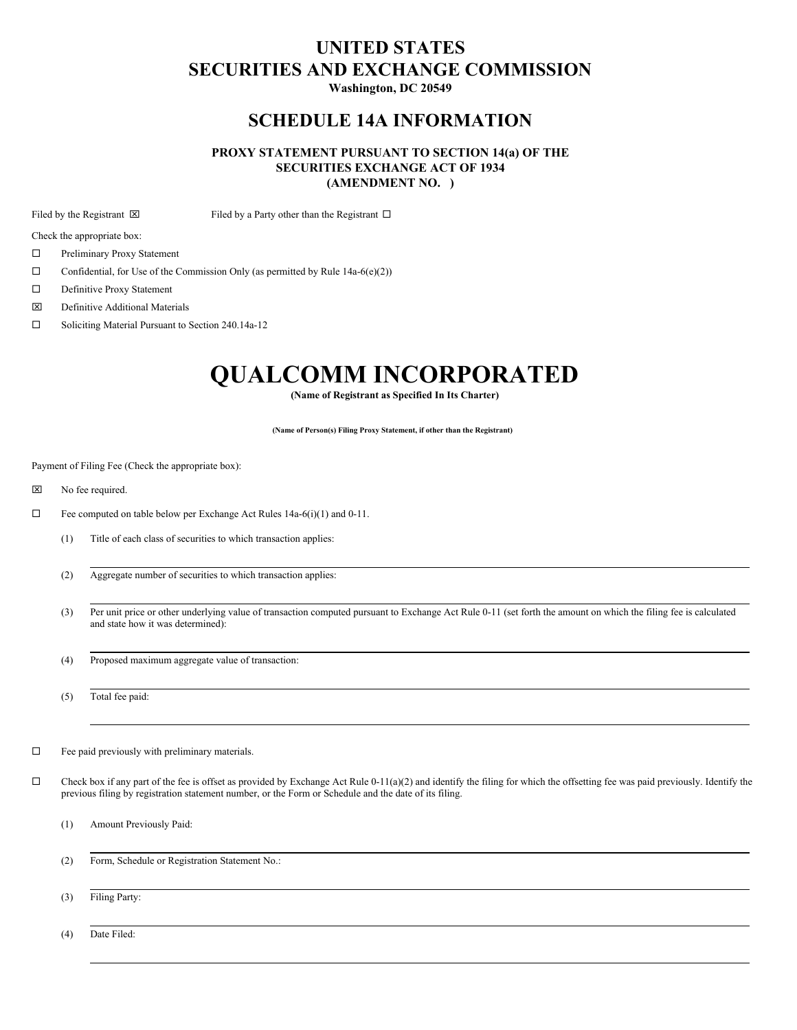# **UNITED STATES SECURITIES AND EXCHANGE COMMISSION**

**Washington, DC 20549**

# **SCHEDULE 14A INFORMATION**

# **PROXY STATEMENT PURSUANT TO SECTION 14(a) OF THE SECURITIES EXCHANGE ACT OF 1934 (AMENDMENT NO. )**

Filed by the Registrant  $\boxtimes$  Filed by a Party other than the Registrant  $\Box$ 

Check the appropriate box:

- □ Preliminary Proxy Statement
- $\Box$  Confidential, for Use of the Commission Only (as permitted by Rule 14a-6(e)(2))
- $\square$  Definitive Proxy Statement
- x Definitive Additional Materials
- □ Soliciting Material Pursuant to Section 240.14a-12

# **QUALCOMM INCORPORATED**

**(Name of Registrant as Specified In Its Charter)**

**(Name of Person(s) Filing Proxy Statement, if other than the Registrant)**

Payment of Filing Fee (Check the appropriate box):

- **x** No fee required.
- $\Box$  Fee computed on table below per Exchange Act Rules 14a-6(i)(1) and 0-11.
	- (1) Title of each class of securities to which transaction applies:
	- (2) Aggregate number of securities to which transaction applies:
	- (3) Per unit price or other underlying value of transaction computed pursuant to Exchange Act Rule 0-11 (set forth the amount on which the filing fee is calculated and state how it was determined):
	- (4) Proposed maximum aggregate value of transaction:

(5) Total fee paid:

- $\square$  Fee paid previously with preliminary materials.
- $\Box$  Check box if any part of the fee is offset as provided by Exchange Act Rule 0-11(a)(2) and identify the filing for which the offsetting fee was paid previously. Identify the previous filing by registration statement number, or the Form or Schedule and the date of its filing.
	- (1) Amount Previously Paid:
	- (2) Form, Schedule or Registration Statement No.:
	- (3) Filing Party:

(4) Date Filed: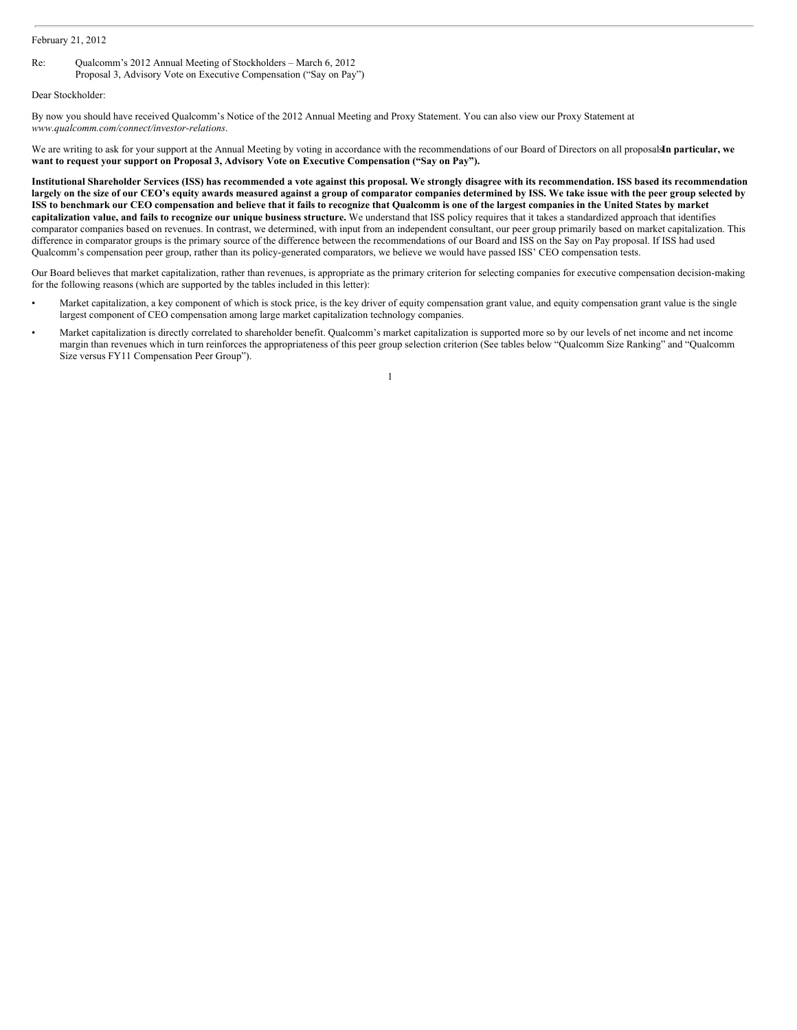## February 21, 2012

Re: Qualcomm's 2012 Annual Meeting of Stockholders – March 6, 2012 Proposal 3, Advisory Vote on Executive Compensation ("Say on Pay")

Dear Stockholder:

By now you should have received Qualcomm's Notice of the 2012 Annual Meeting and Proxy Statement. You can also view our Proxy Statement at *www.qualcomm.com/connect/investor-relations*.

We are writing to ask for your support at the Annual Meeting by voting in accordance with the recommendations of our Board of Directors on all proposals**I**.**n particular, we want to request your support on Proposal 3, Advisory Vote on Executive Compensation ("Say on Pay").**

Institutional Shareholder Services (ISS) has recommended a vote against this proposal. We strongly disagree with its recommendation. ISS based its recommendation largely on the size of our CEO's equity awards measured against a group of comparator companies determined by ISS. We take issue with the peer group selected by ISS to benchmark our CEO compensation and believe that it fails to recognize that Qualcomm is one of the largest companies in the United States by market capitalization value, and fails to recognize our unique business structure. We understand that ISS policy requires that it takes a standardized approach that identifies comparator companies based on revenues. In contrast, we determined, with input from an independent consultant, our peer group primarily based on market capitalization. This difference in comparator groups is the primary source of the difference between the recommendations of our Board and ISS on the Say on Pay proposal. If ISS had used Qualcomm's compensation peer group, rather than its policy-generated comparators, we believe we would have passed ISS' CEO compensation tests.

Our Board believes that market capitalization, rather than revenues, is appropriate as the primary criterion for selecting companies for executive compensation decision-making for the following reasons (which are supported by the tables included in this letter):

- Market capitalization, a key component of which is stock price, is the key driver of equity compensation grant value, and equity compensation grant value is the single largest component of CEO compensation among large market capitalization technology companies.
- Market capitalization is directly correlated to shareholder benefit. Qualcomm's market capitalization is supported more so by our levels of net income and net income margin than revenues which in turn reinforces the appropriateness of this peer group selection criterion (See tables below "Qualcomm Size Ranking" and "Qualcomm Size versus FY11 Compensation Peer Group").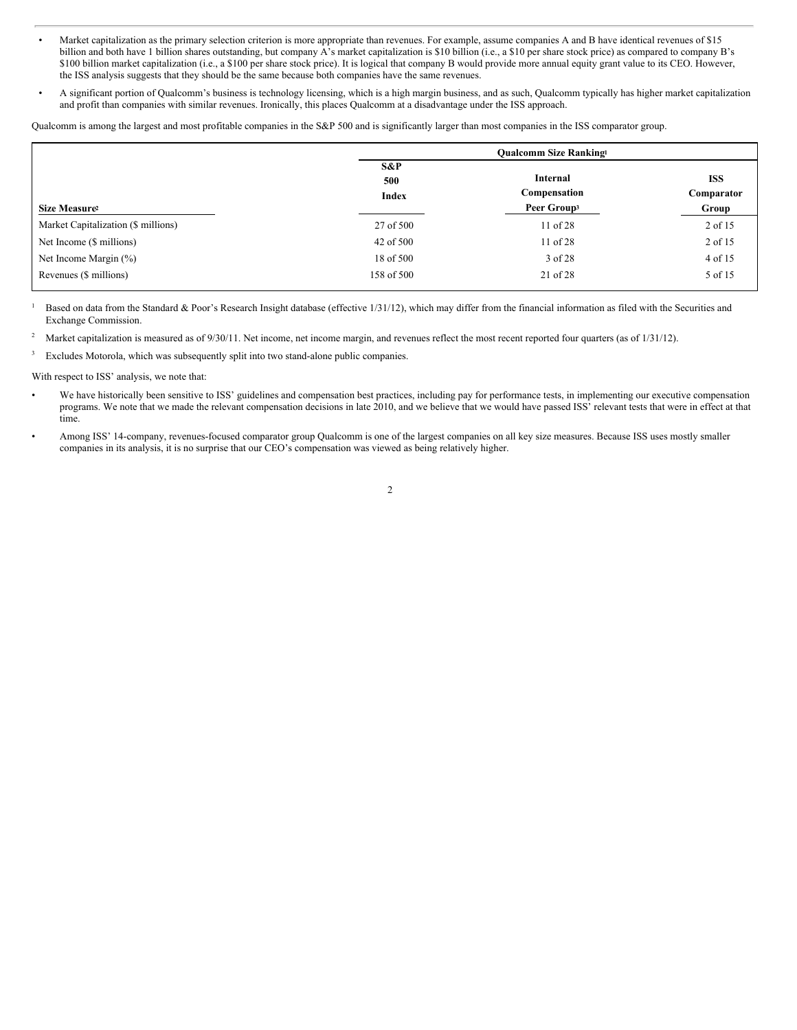- Market capitalization as the primary selection criterion is more appropriate than revenues. For example, assume companies A and B have identical revenues of \$15 billion and both have 1 billion shares outstanding, but company A's market capitalization is \$10 billion (i.e., a \$10 per share stock price) as compared to company B's \$100 billion market capitalization (i.e., a \$100 per share stock price). It is logical that company B would provide more annual equity grant value to its CEO. However, the ISS analysis suggests that they should be the same because both companies have the same revenues.
- A significant portion of Qualcomm's business is technology licensing, which is a high margin business, and as such, Qualcomm typically has higher market capitalization and profit than companies with similar revenues. Ironically, this places Qualcomm at a disadvantage under the ISS approach.

Qualcomm is among the largest and most profitable companies in the S&P 500 and is significantly larger than most companies in the ISS comparator group.

|                                     |                            | <b>Oualcomm Size Ranking!</b>                       |                                   |
|-------------------------------------|----------------------------|-----------------------------------------------------|-----------------------------------|
| Size Measure <sup>2</sup>           | S&P<br>500<br><b>Index</b> | Internal<br>Compensation<br>Peer Group <sup>3</sup> | <b>ISS</b><br>Comparator<br>Group |
| Market Capitalization (\$ millions) | 27 of 500                  | 11 of 28                                            | 2 of 15                           |
| Net Income (\$ millions)            | 42 of 500                  | $11$ of $28$                                        | 2 of 15                           |
| Net Income Margin $(\%)$            | 18 of 500                  | 3 of 28                                             | 4 of 15                           |
| Revenues (\$ millions)              | 158 of 500                 | 21 of 28                                            | 5 of 15                           |

Based on data from the Standard & Poor's Research Insight database (effective 1/31/12), which may differ from the financial information as filed with the Securities and Exchange Commission. 1

Market capitalization is measured as of 9/30/11. Net income, net income margin, and revenues reflect the most recent reported four quarters (as of 1/31/12). 2

Excludes Motorola, which was subsequently split into two stand-alone public companies. 3

With respect to ISS' analysis, we note that:

- We have historically been sensitive to ISS' guidelines and compensation best practices, including pay for performance tests, in implementing our executive compensation programs. We note that we made the relevant compensation decisions in late 2010, and we believe that we would have passed ISS' relevant tests that were in effect at that time.
- Among ISS' 14-company, revenues-focused comparator group Qualcomm is one of the largest companies on all key size measures. Because ISS uses mostly smaller companies in its analysis, it is no surprise that our CEO's compensation was viewed as being relatively higher.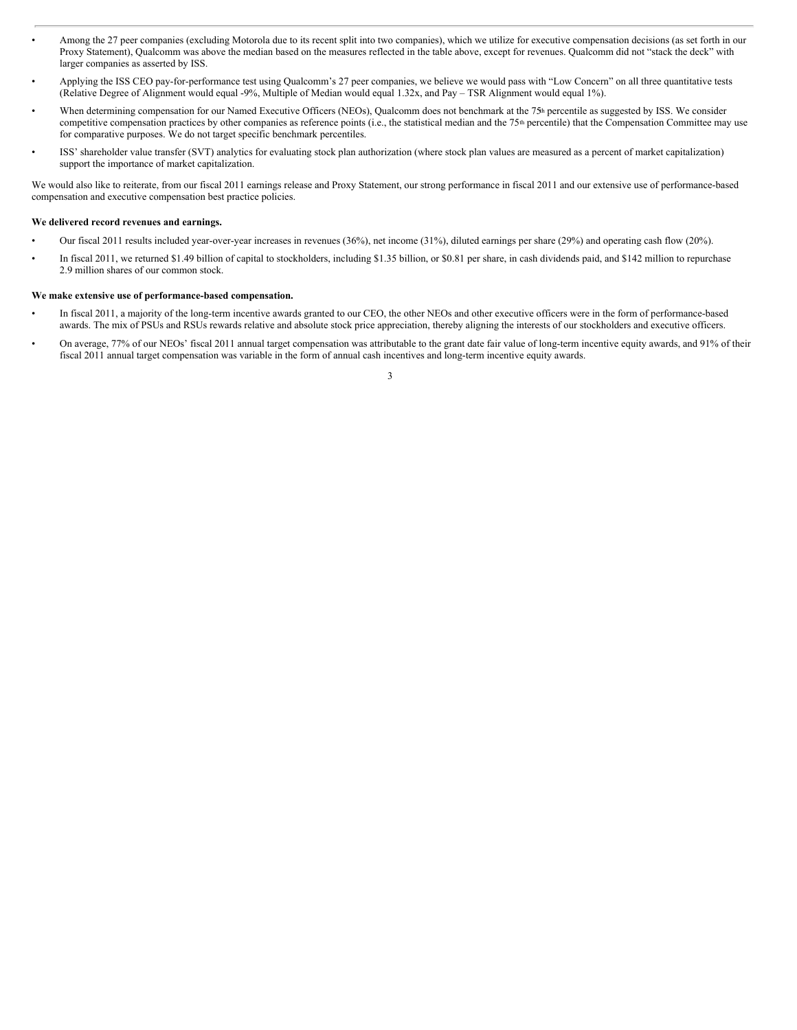- Among the 27 peer companies (excluding Motorola due to its recent split into two companies), which we utilize for executive compensation decisions (as set forth in our Proxy Statement), Qualcomm was above the median based on the measures reflected in the table above, except for revenues. Qualcomm did not "stack the deck" with larger companies as asserted by ISS.
- Applying the ISS CEO pay-for-performance test using Qualcomm's 27 peer companies, we believe we would pass with "Low Concern" on all three quantitative tests (Relative Degree of Alignment would equal -9%, Multiple of Median would equal 1.32x, and Pay – TSR Alignment would equal 1%).
- When determining compensation for our Named Executive Officers (NEOs), Qualcomm does not benchmark at the 75<sup>th</sup> percentile as suggested by ISS. We consider competitive compensation practices by other companies as reference points (i.e., the statistical median and the 75<sup>th</sup> percentile) that the Compensation Committee may use for comparative purposes. We do not target specific benchmark percentiles.
- ISS' shareholder value transfer (SVT) analytics for evaluating stock plan authorization (where stock plan values are measured as a percent of market capitalization) support the importance of market capitalization.

We would also like to reiterate, from our fiscal 2011 earnings release and Proxy Statement, our strong performance in fiscal 2011 and our extensive use of performance-based compensation and executive compensation best practice policies.

## **We delivered record revenues and earnings.**

- Our fiscal 2011 results included year-over-year increases in revenues (36%), net income (31%), diluted earnings per share (29%) and operating cash flow (20%).
- In fiscal 2011, we returned \$1.49 billion of capital to stockholders, including \$1.35 billion, or \$0.81 per share, in cash dividends paid, and \$142 million to repurchase 2.9 million shares of our common stock.

#### **We make extensive use of performance-based compensation.**

- In fiscal 2011, a majority of the long-term incentive awards granted to our CEO, the other NEOs and other executive officers were in the form of performance-based awards. The mix of PSUs and RSUs rewards relative and absolute stock price appreciation, thereby aligning the interests of our stockholders and executive officers.
- On average, 77% of our NEOs' fiscal 2011 annual target compensation was attributable to the grant date fair value of long-term incentive equity awards, and 91% of their fiscal 2011 annual target compensation was variable in the form of annual cash incentives and long-term incentive equity awards.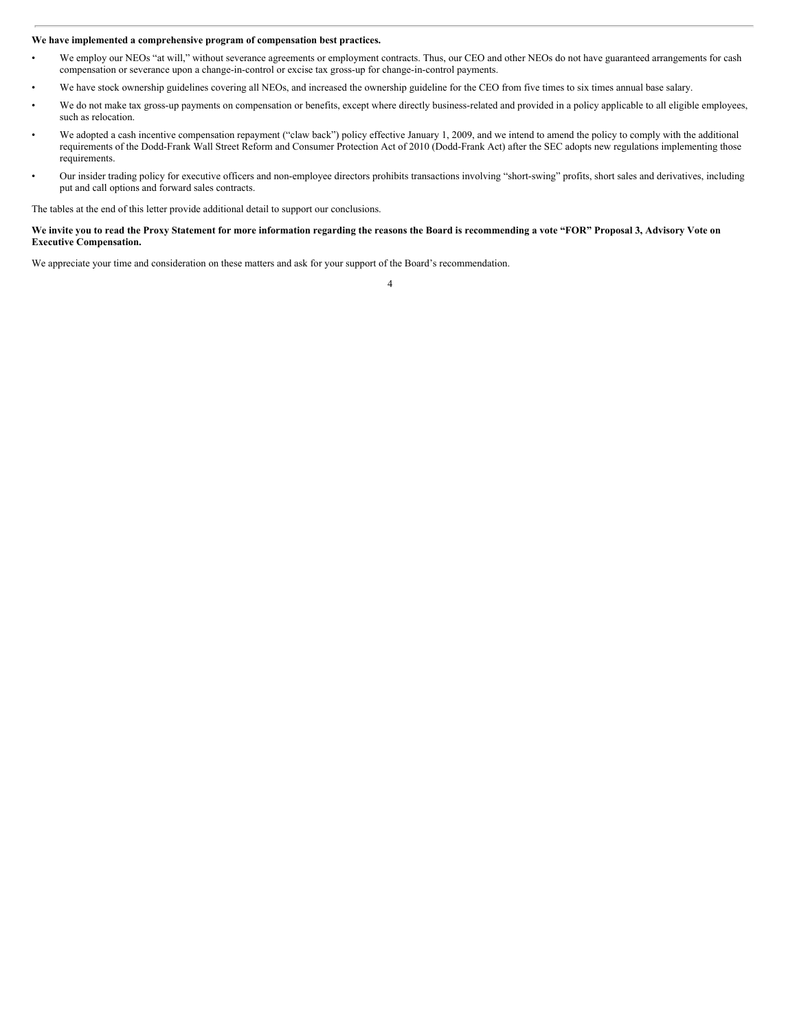#### **We have implemented a comprehensive program of compensation best practices.**

- We employ our NEOs "at will," without severance agreements or employment contracts. Thus, our CEO and other NEOs do not have guaranteed arrangements for cash compensation or severance upon a change-in-control or excise tax gross-up for change-in-control payments.
- We have stock ownership guidelines covering all NEOs, and increased the ownership guideline for the CEO from five times to six times annual base salary.
- We do not make tax gross-up payments on compensation or benefits, except where directly business-related and provided in a policy applicable to all eligible employees, such as relocation.
- We adopted a cash incentive compensation repayment ("claw back") policy effective January 1, 2009, and we intend to amend the policy to comply with the additional requirements of the Dodd-Frank Wall Street Reform and Consumer Protection Act of 2010 (Dodd-Frank Act) after the SEC adopts new regulations implementing those requirements.
- Our insider trading policy for executive officers and non-employee directors prohibits transactions involving "short-swing" profits, short sales and derivatives, including put and call options and forward sales contracts.

The tables at the end of this letter provide additional detail to support our conclusions.

### We invite you to read the Proxy Statement for more information regarding the reasons the Board is recommending a vote "FOR" Proposal 3, Advisory Vote on **Executive Compensation.**

We appreciate your time and consideration on these matters and ask for your support of the Board's recommendation.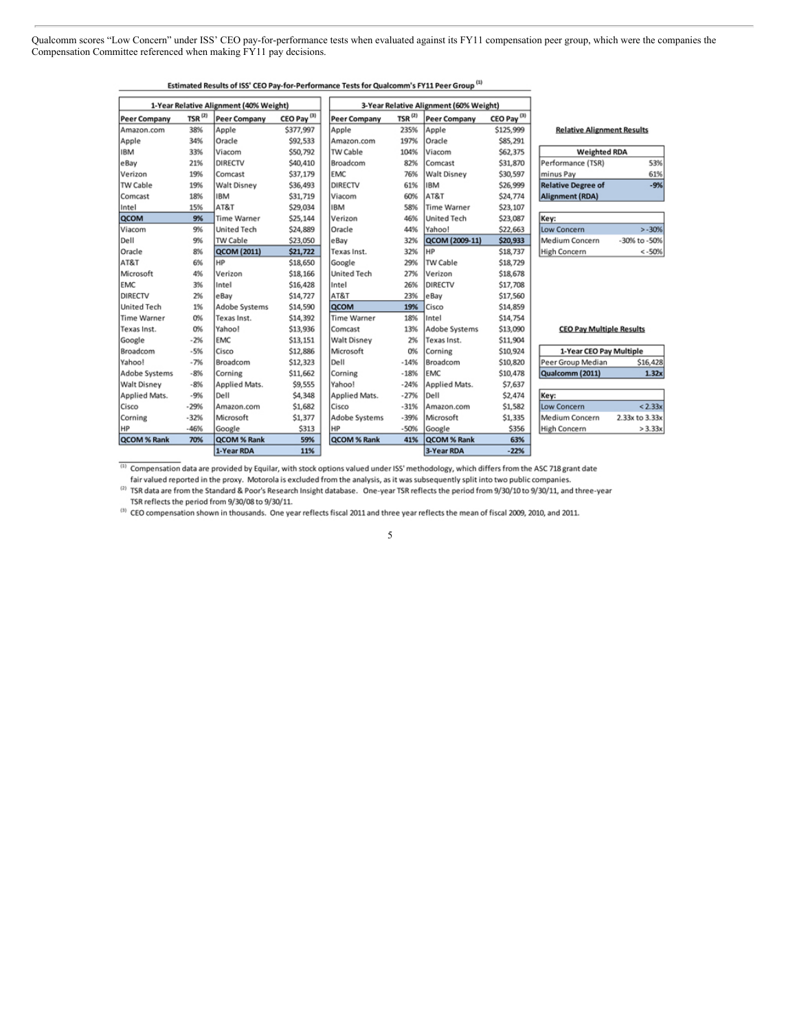Qualcomm scores "Low Concern" under ISS' CEO pay-for-performance tests when evaluated against its FY11 compensation peer group, which were the companies the Compensation Committee referenced when making  $\overrightarrow{FY}$  11 pay decisions.

|                                        |              |                     |                                        | Estimated Results of ISS' CEO Pay-for-Performance Tests for Qualcomm's FY11 Peer Group ** |                      |                    |                        |                                   |                |
|----------------------------------------|--------------|---------------------|----------------------------------------|-------------------------------------------------------------------------------------------|----------------------|--------------------|------------------------|-----------------------------------|----------------|
| 1-Year Relative Alignment (40% Weight) |              |                     | 3-Year Relative Alignment (60% Weight) |                                                                                           |                      |                    |                        |                                   |                |
| <b>Peer Company</b>                    | TSR $^{(2)}$ | <b>Peer Company</b> | CEO Pay <sup>(3)</sup>                 | <b>Peer Company</b>                                                                       | $TSR$ <sup>(2)</sup> | Peer Company       | CEO Pay <sup>(3)</sup> |                                   |                |
| Amazon.com                             | 38%          | Apple               | \$377,997                              | Apple                                                                                     | 235%                 | Apple              | \$125,999              | <b>Relative Alignment Results</b> |                |
| Apple                                  | 34%          | Oracle              | \$92,533                               | Amazon.com                                                                                | 197%                 | Oracle             | \$85,291               |                                   |                |
| <b>IBM</b>                             | 33%          | Viacom              | \$50,792                               | TW Cable                                                                                  | 104%                 | Viacom             | \$62,375               | <b>Weighted RDA</b>               |                |
| eBay                                   | 21%          | DIRECTV             | \$40,410                               | Broadcom                                                                                  | 82%                  | Comcast            | \$31,870               | Performance (TSR)                 | 53%            |
| Verizon                                | 19%          | Comcast             | \$37,179                               | <b>EMC</b>                                                                                | 76%                  | <b>Walt Disney</b> | \$30,597               | minus Pay                         | 61%            |
| TW Cable                               | 19%          | <b>Walt Disney</b>  | \$36,493                               | DIRECTV                                                                                   | 61%                  | <b>IBM</b>         | \$26,999               | <b>Relative Degree of</b>         | $-9%$          |
| Comcast                                | 18%          | <b>IBM</b>          | \$31,719                               | Viacom                                                                                    | 60%                  | AT&T               | \$24,774               | Alignment (RDA)                   |                |
| Intel                                  | 15%          | AT&T                | \$29,034                               | <b>IBM</b>                                                                                | 58%                  | Time Warner        | \$23,107               |                                   |                |
| QCOM                                   | 9%           | <b>Time Warner</b>  | \$25,144                               | Verizon                                                                                   | 46%                  | <b>United Tech</b> | \$23,087               | Key:                              |                |
| Viacom                                 | 9%           | <b>United Tech</b>  | \$24,889                               | Oracle                                                                                    | 44%                  | Yahoo!             | \$22,663               | Low Concern                       | $>-30%$        |
| Dell                                   | 9%           | TW Cable            | \$23,050                               | eBay                                                                                      | 32%                  | QCOM (2009-11)     | \$20,933               | Medium Concern                    | -30% to -50%   |
| Oracle                                 | 8%           | <b>QCOM (2011)</b>  | \$21,722                               | Texas Inst.                                                                               | 32%                  | <b>HP</b>          | \$18,737               | High Concern                      | $< -50%$       |
| AT&T                                   | 6%           | HP                  | \$18,650                               | Google                                                                                    | 29%                  | TW Cable           | \$18,729               |                                   |                |
| Microsoft                              | 4%           | Verizon             | \$18,166                               | <b>United Tech</b>                                                                        | 27%                  | Verizon            | \$18,678               |                                   |                |
| <b>EMC</b>                             | 3%           | Intel               | \$16,428                               | Intel                                                                                     | 26%                  | DIRECTV            | \$17,708               |                                   |                |
| DIRECTV                                | 2%           | eBay                | \$14,727                               | AT&T                                                                                      | 23%                  | eBay               | \$17,560               |                                   |                |
| <b>United Tech</b>                     | 1%           | Adobe Systems       | \$14,590                               | QCOM                                                                                      | 19%                  | Cisco              | \$14,859               |                                   |                |
| <b>Time Warner</b>                     | 0%           | Texas Inst.         | \$14,392                               | <b>Time Warner</b>                                                                        | 18%                  | Intel              | \$14,754               |                                   |                |
| Texas Inst.                            | 0%           | Yahoo!              | \$13,936                               | Comcast                                                                                   | 13%                  | Adobe Systems      | \$13,090               | <b>CEO Pay Multiple Results</b>   |                |
| Google                                 | $-2%$        | <b>EMC</b>          | \$13,151                               | <b>Walt Disney</b>                                                                        | 2%                   | Texas Inst.        | \$11,904               |                                   |                |
| Broadcom                               | $-5%$        | Cisco               | \$12,886                               | Microsoft                                                                                 | 0%                   | Corning            | \$10,924               | 1-Year CEO Pay Multiple           |                |
| Yahoo!                                 | $-7%$        | Broadcom            | \$12,323                               | Dell                                                                                      | $-14%$               | Broadcom           | \$10,820               | Peer Group Median                 | \$16,428       |
| Adobe Systems                          | $-8%$        | Corning             | \$11,662                               | Corning                                                                                   | $-18%$               | EMC                | \$10,478               | Qualcomm (2011)                   | 1.32x          |
| <b>Walt Disney</b>                     | $-8%$        | Applied Mats.       | \$9,555                                | Yahoo!                                                                                    | $-24%$               | Applied Mats.      | \$7,637                |                                   |                |
| Applied Mats.                          | $-9%$        | Dell                | \$4,348                                | Applied Mats.                                                                             | $-27%$               | Dell               | \$2,474                | Key:                              |                |
| Cisco                                  | $-29%$       | Amazon.com          | \$1,682                                | Cisco                                                                                     | $-31%$               | Amazon.com         | \$1,582                | Low Concern                       | < 2.33x        |
| Corning                                | $-32%$       | Microsoft           | \$1,377                                | Adobe Systems                                                                             | $-39%$               | Microsoft          | \$1,335                | Medium Concern                    | 2.33x to 3.33x |
| HP                                     | $-46%$       | Google              | \$313                                  | HP                                                                                        | $-50%$               | Google             | \$356                  | High Concern                      | > 3.33x        |
| QCOM % Rank                            | 70%          | QCOM % Rank         | 59%                                    | QCOM % Rank                                                                               | 41%                  | QCOM % Rank        | 63%                    |                                   |                |
|                                        |              | 1-Year RDA          | 11%                                    |                                                                                           |                      | 3-Year RDA         | $-22%$                 |                                   |                |

racte for Qualcomm's EV11 Peer Gro Fetimated Results of ISS' CEO Rawfor Regio  $(n)$ 

(1) Compensation data are provided by Equilar, with stock options valued under ISS' methodology, which differs from the ASC 718 grant date

fair valued reported in the proxy. Motorola is excluded from the analysis, as it was subsequently split into two public companies.

(2) TSR data are from the Standard & Poor's Research Insight database. One-year TSR reflects the period from 9/30/10 to 9/30/11, and three-year TSR reflects the period from 9/30/08 to 9/30/11.

(3) CEO compensation shown in thousands. One year reflects fiscal 2011 and three year reflects the mean of fiscal 2009, 2010, and 2011.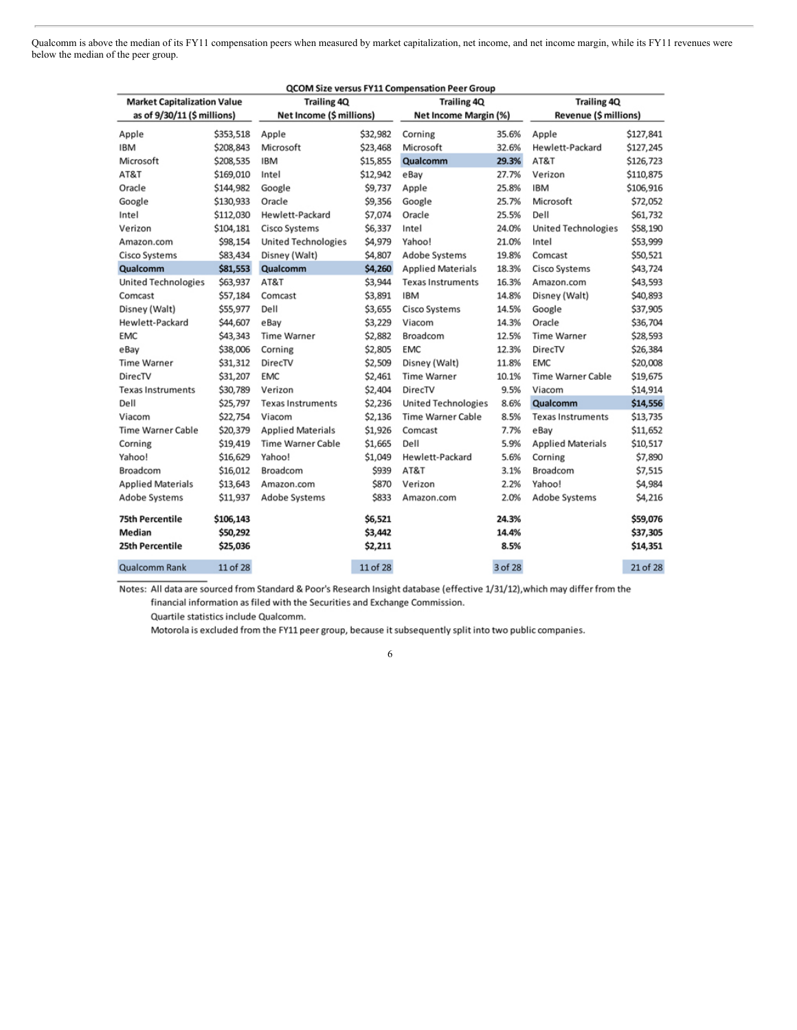Qualcomm is above the median of its FY11 compensation peers when measured by market capitalization, net income, and net income margin, while its FY11 revenues were below the median of the peer group.

|                                    |           |                            |          | QCOM Size versus FY11 Compensation Peer Group |         |                            |           |
|------------------------------------|-----------|----------------------------|----------|-----------------------------------------------|---------|----------------------------|-----------|
| <b>Market Capitalization Value</b> |           | <b>Trailing 4Q</b>         |          | <b>Trailing 4Q</b>                            |         | <b>Trailing 4Q</b>         |           |
| as of 9/30/11 (\$ millions)        |           | Net Income (\$ millions)   |          | Net Income Margin (%)                         |         | Revenue (\$ millions)      |           |
| Apple                              | \$353,518 | Apple                      | \$32,982 | Corning                                       | 35.6%   | Apple                      | \$127,841 |
| <b>IBM</b>                         | \$208,843 | Microsoft                  | \$23,468 | Microsoft                                     | 32.6%   | Hewlett-Packard            | \$127,245 |
| Microsoft                          | \$208,535 | <b>IBM</b>                 | \$15,855 | Qualcomm                                      | 29.3%   | AT&T                       | \$126,723 |
| AT&T                               | \$169,010 | Intel                      | \$12,942 | eBay                                          | 27.7%   | Verizon                    | \$110,875 |
| Oracle                             | \$144,982 | Google                     | \$9,737  | Apple                                         | 25.8%   | <b>IBM</b>                 | \$106,916 |
| Google                             | \$130,933 | Oracle                     | \$9,356  | Google                                        | 25.7%   | Microsoft                  | \$72,052  |
| Intel                              | \$112,030 | Hewlett-Packard            | \$7,074  | Oracle                                        | 25.5%   | Dell                       | \$61,732  |
| Verizon                            | \$104,181 | Cisco Systems              | \$6,337  | Intel                                         | 24.0%   | <b>United Technologies</b> | \$58,190  |
| Amazon.com                         | \$98,154  | <b>United Technologies</b> | \$4,979  | Yahoo!                                        | 21.0%   | Intel                      | \$53,999  |
| Cisco Systems                      | \$83,434  | Disney (Walt)              | \$4,807  | Adobe Systems                                 | 19.8%   | Comcast                    | \$50,521  |
| Qualcomm                           | \$81,553  | Qualcomm                   | \$4,260  | <b>Applied Materials</b>                      | 18.3%   | Cisco Systems              | \$43,724  |
| <b>United Technologies</b>         | \$63,937  | AT&T                       | \$3,944  | <b>Texas Instruments</b>                      | 16.3%   | Amazon.com                 | \$43,593  |
| Comcast                            | \$57,184  | Comcast                    | \$3,891  | <b>IBM</b>                                    | 14.8%   | Disney (Walt)              | \$40,893  |
| Disney (Walt)                      | \$55,977  | Dell                       | \$3,655  | Cisco Systems                                 | 14.5%   | Google                     | \$37,905  |
| Hewlett-Packard                    | \$44,607  | eBay                       | \$3,229  | Viacom                                        | 14.3%   | Oracle                     | \$36,704  |
| <b>EMC</b>                         | \$43,343  | <b>Time Warner</b>         | \$2,882  | Broadcom                                      | 12.5%   | <b>Time Warner</b>         | \$28,593  |
| eBay                               | \$38,006  | Corning                    | \$2,805  | <b>EMC</b>                                    | 12.3%   | DirecTV                    | \$26,384  |
| <b>Time Warner</b>                 | \$31,312  | DirecTV                    | \$2,509  | Disney (Walt)                                 | 11.8%   | <b>EMC</b>                 | \$20,008  |
| DirecTV                            | \$31,207  | <b>EMC</b>                 | \$2,461  | <b>Time Warner</b>                            | 10.1%   | <b>Time Warner Cable</b>   | \$19,675  |
| <b>Texas Instruments</b>           | \$30,789  | Verizon                    | \$2,404  | DirecTV                                       | 9.5%    | Viacom                     | \$14,914  |
| Dell                               | \$25,797  | <b>Texas Instruments</b>   | \$2,236  | <b>United Technologies</b>                    | 8.6%    | Qualcomm                   | \$14,556  |
| Viacom                             | \$22,754  | Viacom                     | \$2,136  | Time Warner Cable                             | 8.5%    | <b>Texas Instruments</b>   | \$13,735  |
| <b>Time Warner Cable</b>           | \$20,379  | <b>Applied Materials</b>   | \$1,926  | Comcast                                       | 7.7%    | eBay                       | \$11,652  |
| Corning                            | \$19,419  | <b>Time Warner Cable</b>   | \$1,665  | Dell                                          | 5.9%    | <b>Applied Materials</b>   | \$10,517  |
| Yahoo!                             | \$16,629  | Yahoo!                     | \$1,049  | Hewlett-Packard                               | 5.6%    | Corning                    | \$7,890   |
| Broadcom                           | \$16,012  | Broadcom                   | \$939    | AT&T                                          | 3.1%    | Broadcom                   | \$7,515   |
| <b>Applied Materials</b>           | \$13,643  | Amazon.com                 | \$870    | Verizon                                       | 2.2%    | Yahoo!                     | \$4,984   |
| Adobe Systems                      | \$11,937  | Adobe Systems              | \$833    | Amazon.com                                    | 2.0%    | Adobe Systems              | \$4,216   |
| <b>75th Percentile</b>             | \$106,143 |                            | \$6,521  |                                               | 24.3%   |                            | \$59,076  |
| Median                             | \$50,292  |                            | \$3,442  |                                               | 14.4%   |                            | \$37,305  |
| 25th Percentile                    | \$25,036  |                            | \$2,211  |                                               | 8.5%    |                            | \$14,351  |
| Qualcomm Rank                      | 11 of 28  |                            | 11 of 28 |                                               | 3 of 28 |                            | 21 of 28  |

Notes: All data are sourced from Standard & Poor's Research Insight database (effective 1/31/12), which may differ from the financial information as filed with the Securities and Exchange Commission.

Quartile statistics include Qualcomm.

Motorola is excluded from the FY11 peer group, because it subsequently split into two public companies.

 $\sqrt{6}$